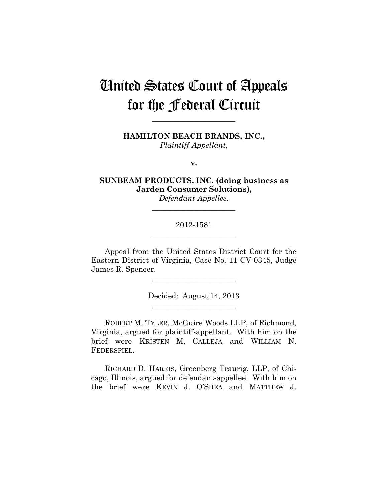# United States Court of Appeals for the Federal Circuit

**HAMILTON BEACH BRANDS, INC.,** *Plaintiff-Appellant,*

**\_\_\_\_\_\_\_\_\_\_\_\_\_\_\_\_\_\_\_\_\_\_** 

**v.**

**SUNBEAM PRODUCTS, INC. (doing business as Jarden Consumer Solutions),**

*Defendant-Appellee.* **\_\_\_\_\_\_\_\_\_\_\_\_\_\_\_\_\_\_\_\_\_\_** 

## 2012-1581 **\_\_\_\_\_\_\_\_\_\_\_\_\_\_\_\_\_\_\_\_\_\_**

Appeal from the United States District Court for the Eastern District of Virginia, Case No. 11-CV-0345, Judge James R. Spencer.

**\_\_\_\_\_\_\_\_\_\_\_\_\_\_\_\_\_\_\_\_\_\_** 

Decided: August 14, 2013 **\_\_\_\_\_\_\_\_\_\_\_\_\_\_\_\_\_\_\_\_\_\_** 

ROBERT M. TYLER, McGuire Woods LLP, of Richmond, Virginia, argued for plaintiff-appellant. With him on the brief were KRISTEN M. CALLEJA and WILLIAM N. FEDERSPIEL.

RICHARD D. HARRIS, Greenberg Traurig, LLP, of Chicago, Illinois, argued for defendant-appellee. With him on the brief were KEVIN J. O'SHEA and MATTHEW J.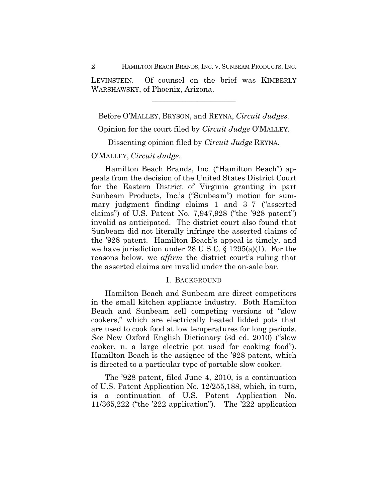2 HAMILTON BEACH BRANDS, INC. V. SUNBEAM PRODUCTS, INC.

LEVINSTEIN. Of counsel on the brief was KIMBERLY WARSHAWSKY, of Phoenix, Arizona.

**\_\_\_\_\_\_\_\_\_\_\_\_\_\_\_\_\_\_\_\_\_\_** 

Before O'MALLEY, BRYSON, and REYNA, *Circuit Judges.*

Opinion for the court filed by *Circuit Judge* O'MALLEY.

Dissenting opinion filed by *Circuit Judge* REYNA.

## O'MALLEY, *Circuit Judge*.

Hamilton Beach Brands, Inc. ("Hamilton Beach") appeals from the decision of the United States District Court for the Eastern District of Virginia granting in part Sunbeam Products, Inc.'s ("Sunbeam") motion for summary judgment finding claims 1 and 3–7 ("asserted claims") of U.S. Patent No. 7,947,928 ("the '928 patent") invalid as anticipated. The district court also found that Sunbeam did not literally infringe the asserted claims of the '928 patent. Hamilton Beach's appeal is timely, and we have jurisdiction under 28 U.S.C. § 1295(a)(1). For the reasons below, we *affirm* the district court's ruling that the asserted claims are invalid under the on-sale bar.

## I. BACKGROUND

Hamilton Beach and Sunbeam are direct competitors in the small kitchen appliance industry. Both Hamilton Beach and Sunbeam sell competing versions of "slow cookers," which are electrically heated lidded pots that are used to cook food at low temperatures for long periods. *See* New Oxford English Dictionary (3d ed. 2010) ("slow cooker, n. a large electric pot used for cooking food"). Hamilton Beach is the assignee of the '928 patent, which is directed to a particular type of portable slow cooker.

The '928 patent, filed June 4, 2010, is a continuation of U.S. Patent Application No. 12/255,188, which, in turn, is a continuation of U.S. Patent Application No. 11/365,222 ("the '222 application"). The '222 application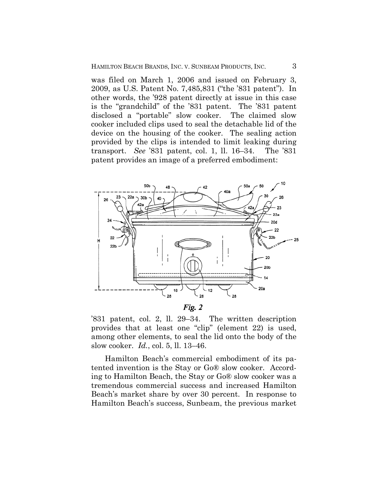was filed on March 1, 2006 and issued on February 3, 2009, as U.S. Patent No. 7,485,831 ("the '831 patent"). In other words, the '928 patent directly at issue in this case is the "grandchild" of the '831 patent. The '831 patent disclosed a "portable" slow cooker. The claimed slow cooker included clips used to seal the detachable lid of the device on the housing of the cooker. The sealing action provided by the clips is intended to limit leaking during transport. *See* '831 patent, col. 1, ll. 16–34. The '831 patent provides an image of a preferred embodiment:



'831 patent, col. 2, ll. 29–34. The written description provides that at least one "clip" (element 22) is used, among other elements, to seal the lid onto the body of the slow cooker. *Id.*, col. 5, ll. 13–46.

Hamilton Beach's commercial embodiment of its patented invention is the Stay or Go® slow cooker. According to Hamilton Beach, the Stay or Go® slow cooker was a tremendous commercial success and increased Hamilton Beach's market share by over 30 percent. In response to Hamilton Beach's success, Sunbeam, the previous market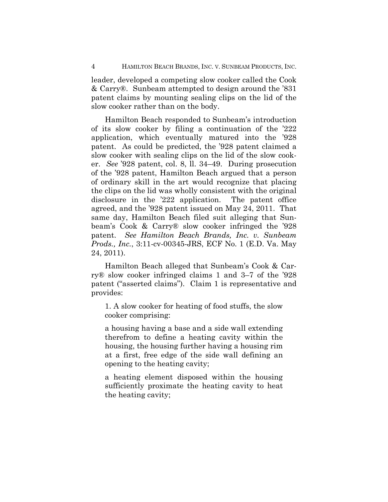leader, developed a competing slow cooker called the Cook & Carry®. Sunbeam attempted to design around the '831 patent claims by mounting sealing clips on the lid of the slow cooker rather than on the body.

Hamilton Beach responded to Sunbeam's introduction of its slow cooker by filing a continuation of the '222 application, which eventually matured into the '928 patent. As could be predicted, the '928 patent claimed a slow cooker with sealing clips on the lid of the slow cooker. *See* '928 patent, col. 8, ll. 34–49. During prosecution of the '928 patent, Hamilton Beach argued that a person of ordinary skill in the art would recognize that placing the clips on the lid was wholly consistent with the original disclosure in the '222 application. The patent office agreed, and the '928 patent issued on May 24, 2011. That same day, Hamilton Beach filed suit alleging that Sunbeam's Cook & Carry® slow cooker infringed the '928 patent. *See Hamilton Beach Brands, Inc. v. Sunbeam Prods., Inc.*, 3:11-cv-00345-JRS, ECF No. 1 (E.D. Va. May 24, 2011).

Hamilton Beach alleged that Sunbeam's Cook & Carry® slow cooker infringed claims 1 and 3–7 of the '928 patent ("asserted claims"). Claim 1 is representative and provides:

1. A slow cooker for heating of food stuffs, the slow cooker comprising:

a housing having a base and a side wall extending therefrom to define a heating cavity within the housing, the housing further having a housing rim at a first, free edge of the side wall defining an opening to the heating cavity;

a heating element disposed within the housing sufficiently proximate the heating cavity to heat the heating cavity;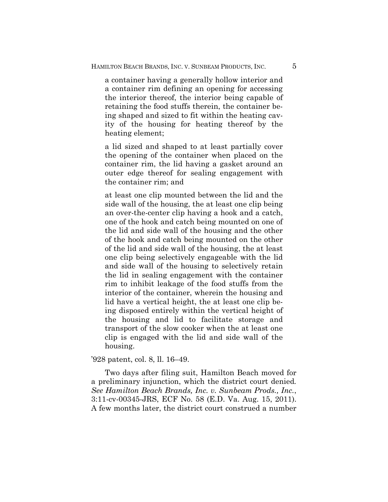a container having a generally hollow interior and a container rim defining an opening for accessing the interior thereof, the interior being capable of retaining the food stuffs therein, the container being shaped and sized to fit within the heating cavity of the housing for heating thereof by the heating element;

a lid sized and shaped to at least partially cover the opening of the container when placed on the container rim, the lid having a gasket around an outer edge thereof for sealing engagement with the container rim; and

at least one clip mounted between the lid and the side wall of the housing, the at least one clip being an over-the-center clip having a hook and a catch, one of the hook and catch being mounted on one of the lid and side wall of the housing and the other of the hook and catch being mounted on the other of the lid and side wall of the housing, the at least one clip being selectively engageable with the lid and side wall of the housing to selectively retain the lid in sealing engagement with the container rim to inhibit leakage of the food stuffs from the interior of the container, wherein the housing and lid have a vertical height, the at least one clip being disposed entirely within the vertical height of the housing and lid to facilitate storage and transport of the slow cooker when the at least one clip is engaged with the lid and side wall of the housing.

#### '928 patent, col. 8, ll. 16–49.

Two days after filing suit, Hamilton Beach moved for a preliminary injunction, which the district court denied*. See Hamilton Beach Brands, Inc. v. Sunbeam Prods., Inc.*, 3:11-cv-00345-JRS, ECF No. 58 (E.D. Va. Aug. 15, 2011). A few months later, the district court construed a number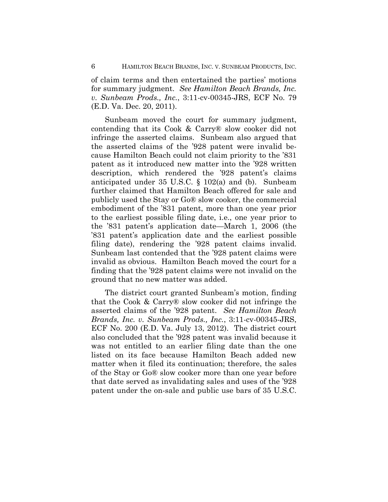of claim terms and then entertained the parties' motions for summary judgment. *See Hamilton Beach Brands, Inc. v. Sunbeam Prods., Inc.*, 3:11-cv-00345-JRS, ECF No. 79 (E.D. Va. Dec. 20, 2011).

Sunbeam moved the court for summary judgment, contending that its Cook & Carry® slow cooker did not infringe the asserted claims. Sunbeam also argued that the asserted claims of the '928 patent were invalid because Hamilton Beach could not claim priority to the '831 patent as it introduced new matter into the '928 written description, which rendered the '928 patent's claims anticipated under 35 U.S.C. § 102(a) and (b). Sunbeam further claimed that Hamilton Beach offered for sale and publicly used the Stay or Go® slow cooker, the commercial embodiment of the '831 patent, more than one year prior to the earliest possible filing date, i.e., one year prior to the '831 patent's application date—March 1, 2006 (the '831 patent's application date and the earliest possible filing date), rendering the '928 patent claims invalid. Sunbeam last contended that the '928 patent claims were invalid as obvious. Hamilton Beach moved the court for a finding that the '928 patent claims were not invalid on the ground that no new matter was added.

The district court granted Sunbeam's motion, finding that the Cook & Carry® slow cooker did not infringe the asserted claims of the '928 patent. *See Hamilton Beach Brands, Inc. v. Sunbeam Prods., Inc.*, 3:11-cv-00345-JRS, ECF No. 200 (E.D. Va. July 13, 2012). The district court also concluded that the '928 patent was invalid because it was not entitled to an earlier filing date than the one listed on its face because Hamilton Beach added new matter when it filed its continuation; therefore, the sales of the Stay or Go® slow cooker more than one year before that date served as invalidating sales and uses of the '928 patent under the on-sale and public use bars of 35 U.S.C.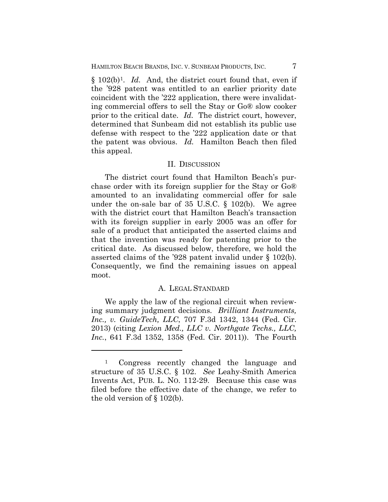§ 102(b)1. *Id.* And, the district court found that, even if the '928 patent was entitled to an earlier priority date coincident with the '222 application, there were invalidating commercial offers to sell the Stay or Go® slow cooker prior to the critical date. *Id.* The district court, however, determined that Sunbeam did not establish its public use defense with respect to the '222 application date or that the patent was obvious. *Id.* Hamilton Beach then filed this appeal.

#### II. DISCUSSION

The district court found that Hamilton Beach's purchase order with its foreign supplier for the Stay or Go® amounted to an invalidating commercial offer for sale under the on-sale bar of 35 U.S.C. § 102(b). We agree with the district court that Hamilton Beach's transaction with its foreign supplier in early 2005 was an offer for sale of a product that anticipated the asserted claims and that the invention was ready for patenting prior to the critical date. As discussed below, therefore, we hold the asserted claims of the '928 patent invalid under § 102(b). Consequently, we find the remaining issues on appeal moot.

## A. LEGAL STANDARD

We apply the law of the regional circuit when reviewing summary judgment decisions. *Brilliant Instruments, Inc., v. GuideTech, LLC*, 707 F.3d 1342, 1344 (Fed. Cir. 2013) (citing *Lexion Med., LLC v. Northgate Techs., LLC, Inc.*, 641 F.3d 1352, 1358 (Fed. Cir. 2011)). The Fourth

 $\overline{a}$ 

<sup>1</sup> Congress recently changed the language and structure of 35 U.S.C. § 102. *See* Leahy-Smith America Invents Act, PUB. L. NO. 112-29. Because this case was filed before the effective date of the change, we refer to the old version of § 102(b).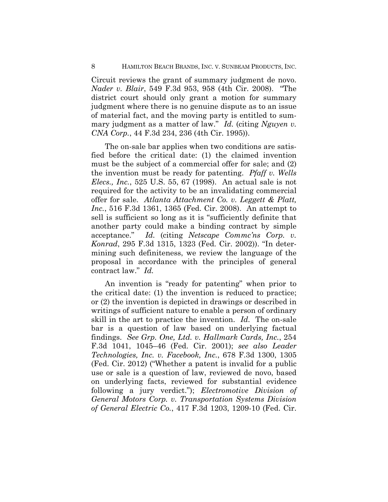#### 8 HAMILTON BEACH BRANDS, INC. V. SUNBEAM PRODUCTS, INC.

Circuit reviews the grant of summary judgment de novo. *Nader v. Blair*, 549 F.3d 953, 958 (4th Cir. 2008). "The district court should only grant a motion for summary judgment where there is no genuine dispute as to an issue of material fact, and the moving party is entitled to summary judgment as a matter of law." *Id.* (citing *Nguyen v. CNA Corp.*, 44 F.3d 234, 236 (4th Cir. 1995)).

The on-sale bar applies when two conditions are satisfied before the critical date: (1) the claimed invention must be the subject of a commercial offer for sale; and (2) the invention must be ready for patenting. *Pfaff v. Wells Elecs., Inc.*, 525 U.S. 55, 67 (1998). An actual sale is not required for the activity to be an invalidating commercial offer for sale. *Atlanta Attachment Co. v. Leggett & Platt, Inc.*, 516 F.3d 1361, 1365 (Fed. Cir. 2008). An attempt to sell is sufficient so long as it is "sufficiently definite that another party could make a binding contract by simple acceptance." *Id.* (citing *Netscape Commc'ns Corp. v. Konrad*, 295 F.3d 1315, 1323 (Fed. Cir. 2002)). "In determining such definiteness, we review the language of the proposal in accordance with the principles of general contract law." *Id.* 

An invention is "ready for patenting" when prior to the critical date: (1) the invention is reduced to practice; or (2) the invention is depicted in drawings or described in writings of sufficient nature to enable a person of ordinary skill in the art to practice the invention. *Id.* The on-sale bar is a question of law based on underlying factual findings. *See Grp. One, Ltd. v. Hallmark Cards, Inc.*, 254 F.3d 1041, 1045–46 (Fed. Cir. 2001); *see also Leader Technologies, Inc. v. Facebook, Inc.*, 678 F.3d 1300, 1305 (Fed. Cir. 2012) ("Whether a patent is invalid for a public use or sale is a question of law, reviewed de novo, based on underlying facts, reviewed for substantial evidence following a jury verdict."); *Electromotive Division of General Motors Corp. v. Transportation Systems Division of General Electric Co.*, 417 F.3d 1203, 1209-10 (Fed. Cir.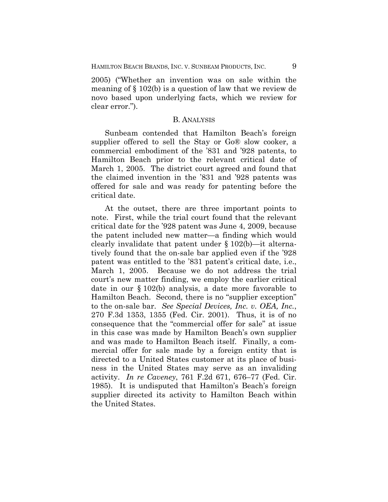2005) ("Whether an invention was on sale within the meaning of § 102(b) is a question of law that we review de novo based upon underlying facts, which we review for clear error.").

### B. ANALYSIS

Sunbeam contended that Hamilton Beach's foreign supplier offered to sell the Stay or Go® slow cooker, a commercial embodiment of the '831 and '928 patents, to Hamilton Beach prior to the relevant critical date of March 1, 2005. The district court agreed and found that the claimed invention in the '831 and '928 patents was offered for sale and was ready for patenting before the critical date.

At the outset, there are three important points to note. First, while the trial court found that the relevant critical date for the '928 patent was June 4, 2009, because the patent included new matter—a finding which would clearly invalidate that patent under § 102(b)—it alternatively found that the on-sale bar applied even if the '928 patent was entitled to the '831 patent's critical date, i.e., March 1, 2005. Because we do not address the trial court's new matter finding, we employ the earlier critical date in our § 102(b) analysis, a date more favorable to Hamilton Beach. Second, there is no "supplier exception" to the on-sale bar. *See Special Devices, Inc. v. OEA, Inc.*, 270 F.3d 1353, 1355 (Fed. Cir. 2001). Thus, it is of no consequence that the "commercial offer for sale" at issue in this case was made by Hamilton Beach's own supplier and was made to Hamilton Beach itself. Finally, a commercial offer for sale made by a foreign entity that is directed to a United States customer at its place of business in the United States may serve as an invaliding activity. *In re Caveney*, 761 F.2d 671, 676–77 (Fed. Cir. 1985). It is undisputed that Hamilton's Beach's foreign supplier directed its activity to Hamilton Beach within the United States.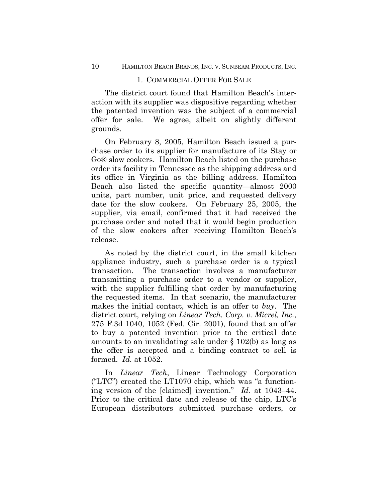## 1. COMMERCIAL OFFER FOR SALE

The district court found that Hamilton Beach's interaction with its supplier was dispositive regarding whether the patented invention was the subject of a commercial offer for sale. We agree, albeit on slightly different grounds.

On February 8, 2005, Hamilton Beach issued a purchase order to its supplier for manufacture of its Stay or Go® slow cookers. Hamilton Beach listed on the purchase order its facility in Tennessee as the shipping address and its office in Virginia as the billing address. Hamilton Beach also listed the specific quantity—almost 2000 units, part number, unit price, and requested delivery date for the slow cookers.On February 25, 2005, the supplier, via email, confirmed that it had received the purchase order and noted that it would begin production of the slow cookers after receiving Hamilton Beach's release.

As noted by the district court, in the small kitchen appliance industry, such a purchase order is a typical transaction. The transaction involves a manufacturer transmitting a purchase order to a vendor or supplier, with the supplier fulfilling that order by manufacturing the requested items. In that scenario, the manufacturer makes the initial contact, which is an offer to *buy*. The district court, relying on *Linear Tech. Corp. v. Micrel, Inc.*, 275 F.3d 1040, 1052 (Fed. Cir. 2001), found that an offer to buy a patented invention prior to the critical date amounts to an invalidating sale under § 102(b) as long as the offer is accepted and a binding contract to sell is formed. *Id.* at 1052.

In *Linear Tech*, Linear Technology Corporation ("LTC") created the LT1070 chip, which was "a functioning version of the [claimed] invention." *Id.* at 1043–44. Prior to the critical date and release of the chip, LTC's European distributors submitted purchase orders, or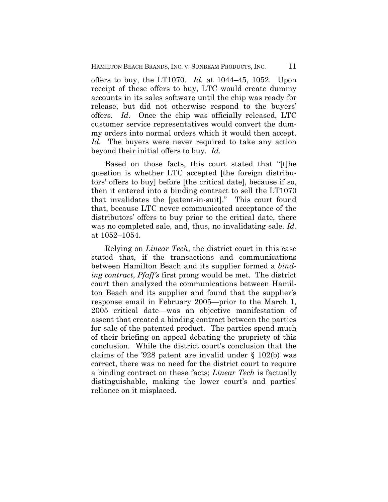offers to buy, the LT1070. *Id.* at 1044–45, 1052. Upon receipt of these offers to buy, LTC would create dummy accounts in its sales software until the chip was ready for release, but did not otherwise respond to the buyers' offers. *Id.* Once the chip was officially released, LTC customer service representatives would convert the dummy orders into normal orders which it would then accept. *Id.* The buyers were never required to take any action beyond their initial offers to buy. *Id.*

Based on those facts, this court stated that "[t]he question is whether LTC accepted [the foreign distributors' offers to buy] before [the critical date], because if so, then it entered into a binding contract to sell the LT1070 that invalidates the [patent-in-suit]." This court found that, because LTC never communicated acceptance of the distributors' offers to buy prior to the critical date, there was no completed sale, and, thus, no invalidating sale. *Id.* at 1052–1054.

Relying on *Linear Tech*, the district court in this case stated that, if the transactions and communications between Hamilton Beach and its supplier formed a *binding contract*, *Pfaff's* first prong would be met. The district court then analyzed the communications between Hamilton Beach and its supplier and found that the supplier's response email in February 2005—prior to the March 1, 2005 critical date—was an objective manifestation of assent that created a binding contract between the parties for sale of the patented product.The parties spend much of their briefing on appeal debating the propriety of this conclusion. While the district court's conclusion that the claims of the '928 patent are invalid under § 102(b) was correct, there was no need for the district court to require a binding contract on these facts; *Linear Tech* is factually distinguishable, making the lower court's and parties' reliance on it misplaced.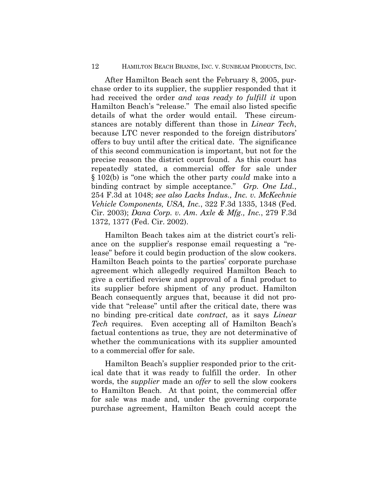#### 12 HAMILTON BEACH BRANDS, INC. V. SUNBEAM PRODUCTS, INC.

After Hamilton Beach sent the February 8, 2005, purchase order to its supplier, the supplier responded that it had received the order *and was ready to fulfill it* upon Hamilton Beach's "release." The email also listed specific details of what the order would entail. These circumstances are notably different than those in *Linear Tech*, because LTC never responded to the foreign distributors' offers to buy until after the critical date. The significance of this second communication is important, but not for the precise reason the district court found. As this court has repeatedly stated, a commercial offer for sale under § 102(b) is "one which the other party *could* make into a binding contract by simple acceptance." *Grp. One Ltd.*, 254 F.3d at 1048; *see also Lacks Indus., Inc. v. McKechnie Vehicle Components, USA, Inc.*, 322 F.3d 1335, 1348 (Fed. Cir. 2003); *Dana Corp. v. Am. Axle & Mfg., Inc.*, 279 F.3d 1372, 1377 (Fed. Cir. 2002).

Hamilton Beach takes aim at the district court's reliance on the supplier's response email requesting a "release" before it could begin production of the slow cookers. Hamilton Beach points to the parties' corporate purchase agreement which allegedly required Hamilton Beach to give a certified review and approval of a final product to its supplier before shipment of any product. Hamilton Beach consequently argues that, because it did not provide that "release" until after the critical date, there was no binding pre-critical date *contract*, as it says *Linear Tech* requires. Even accepting all of Hamilton Beach's factual contentions as true, they are not determinative of whether the communications with its supplier amounted to a commercial offer for sale.

Hamilton Beach's supplier responded prior to the critical date that it was ready to fulfill the order. In other words, the *supplier* made an *offer* to sell the slow cookers to Hamilton Beach. At that point, the commercial offer for sale was made and, under the governing corporate purchase agreement, Hamilton Beach could accept the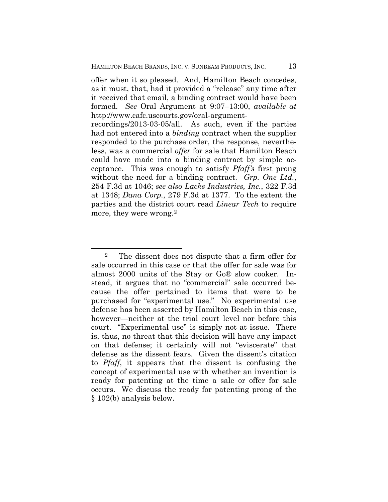offer when it so pleased. And, Hamilton Beach concedes, as it must, that, had it provided a "release" any time after it received that email, a binding contract would have been formed. *See* Oral Argument at 9:07–13:00, *available at* http://www.cafc.uscourts.gov/oral-argument-

recordings/2013-03-05/all. As such, even if the parties had not entered into a *binding* contract when the supplier responded to the purchase order, the response, nevertheless, was a commercial *offer* for sale that Hamilton Beach could have made into a binding contract by simple acceptance. This was enough to satisfy *Pfaff's* first prong without the need for a binding contract. *Grp. One Ltd.*, 254 F.3d at 1046; *see also Lacks Industries, Inc.*, 322 F.3d at 1348; *Dana Corp.*, 279 F.3d at 1377. To the extent the parties and the district court read *Linear Tech* to require more, they were wrong.<sup>2</sup>

 $\overline{a}$ 

<sup>2</sup> The dissent does not dispute that a firm offer for sale occurred in this case or that the offer for sale was for almost 2000 units of the Stay or Go® slow cooker. Instead, it argues that no "commercial" sale occurred because the offer pertained to items that were to be purchased for "experimental use." No experimental use defense has been asserted by Hamilton Beach in this case, however—neither at the trial court level nor before this court. "Experimental use" is simply not at issue. There is, thus, no threat that this decision will have any impact on that defense; it certainly will not "eviscerate" that defense as the dissent fears. Given the dissent's citation to *Pfaff*, it appears that the dissent is confusing the concept of experimental use with whether an invention is ready for patenting at the time a sale or offer for sale occurs. We discuss the ready for patenting prong of the § 102(b) analysis below.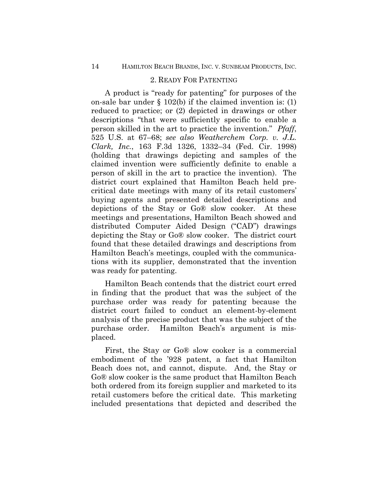## 2. READY FOR PATENTING

A product is "ready for patenting" for purposes of the on-sale bar under  $\S 102(b)$  if the claimed invention is: (1) reduced to practice; or (2) depicted in drawings or other descriptions "that were sufficiently specific to enable a person skilled in the art to practice the invention." *Pfaff*, 525 U.S. at 67–68; *see also Weatherchem Corp. v. J.L. Clark, Inc.*, 163 F.3d 1326, 1332–34 (Fed. Cir. 1998) (holding that drawings depicting and samples of the claimed invention were sufficiently definite to enable a person of skill in the art to practice the invention). The district court explained that Hamilton Beach held precritical date meetings with many of its retail customers' buying agents and presented detailed descriptions and depictions of the Stay or Go® slow cooker. At these meetings and presentations, Hamilton Beach showed and distributed Computer Aided Design ("CAD") drawings depicting the Stay or Go® slow cooker. The district court found that these detailed drawings and descriptions from Hamilton Beach's meetings, coupled with the communications with its supplier, demonstrated that the invention was ready for patenting.

Hamilton Beach contends that the district court erred in finding that the product that was the subject of the purchase order was ready for patenting because the district court failed to conduct an element-by-element analysis of the precise product that was the subject of the purchase order. Hamilton Beach's argument is misplaced.

First, the Stay or Go® slow cooker is a commercial embodiment of the '928 patent, a fact that Hamilton Beach does not, and cannot, dispute. And, the Stay or Go® slow cooker is the same product that Hamilton Beach both ordered from its foreign supplier and marketed to its retail customers before the critical date. This marketing included presentations that depicted and described the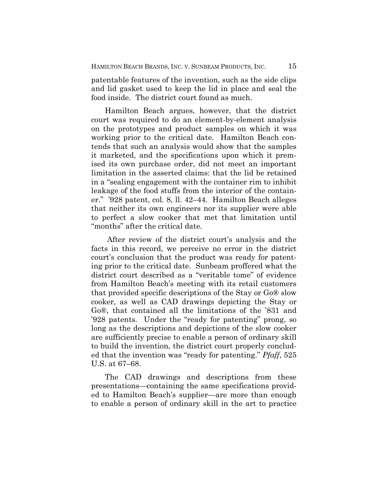patentable features of the invention, such as the side clips and lid gasket used to keep the lid in place and seal the food inside.The district court found as much.

Hamilton Beach argues, however, that the district court was required to do an element-by-element analysis on the prototypes and product samples on which it was working prior to the critical date. Hamilton Beach contends that such an analysis would show that the samples it marketed, and the specifications upon which it premised its own purchase order, did not meet an important limitation in the asserted claims: that the lid be retained in a "sealing engagement with the container rim to inhibit leakage of the food stuffs from the interior of the container." '928 patent, col. 8, ll. 42–44. Hamilton Beach alleges that neither its own engineers nor its supplier were able to perfect a slow cooker that met that limitation until "months" after the critical date.

After review of the district court's analysis and the facts in this record, we perceive no error in the district court's conclusion that the product was ready for patenting prior to the critical date. Sunbeam proffered what the district court described as a "veritable tome" of evidence from Hamilton Beach's meeting with its retail customers that provided specific descriptions of the Stay or Go® slow cooker, as well as CAD drawings depicting the Stay or Go®, that contained all the limitations of the '831 and '928 patents. Under the "ready for patenting" prong, so long as the descriptions and depictions of the slow cooker are sufficiently precise to enable a person of ordinary skill to build the invention, the district court properly concluded that the invention was "ready for patenting." *Pfaff*, 525 U.S. at 67–68.

The CAD drawings and descriptions from these presentations—containing the same specifications provided to Hamilton Beach's supplier—are more than enough to enable a person of ordinary skill in the art to practice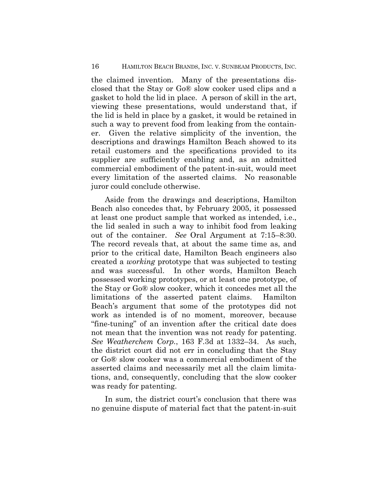### 16 HAMILTON BEACH BRANDS, INC. V. SUNBEAM PRODUCTS, INC.

the claimed invention. Many of the presentations disclosed that the Stay or Go® slow cooker used clips and a gasket to hold the lid in place.A person of skill in the art, viewing these presentations, would understand that, if the lid is held in place by a gasket, it would be retained in such a way to prevent food from leaking from the container. Given the relative simplicity of the invention, the descriptions and drawings Hamilton Beach showed to its retail customers and the specifications provided to its supplier are sufficiently enabling and, as an admitted commercial embodiment of the patent-in-suit, would meet every limitation of the asserted claims. No reasonable juror could conclude otherwise.

Aside from the drawings and descriptions, Hamilton Beach also concedes that, by February 2005, it possessed at least one product sample that worked as intended, i.e., the lid sealed in such a way to inhibit food from leaking out of the container. *See* Oral Argument at 7:15–8:30. The record reveals that, at about the same time as, and prior to the critical date, Hamilton Beach engineers also created a *working* prototype that was subjected to testing and was successful. In other words, Hamilton Beach possessed working prototypes, or at least one prototype, of the Stay or Go® slow cooker, which it concedes met all the limitations of the asserted patent claims. Hamilton Beach's argument that some of the prototypes did not work as intended is of no moment, moreover, because "fine-tuning" of an invention after the critical date does not mean that the invention was not ready for patenting. *See Weatherchem Corp.*, 163 F.3d at 1332–34. As such, the district court did not err in concluding that the Stay or Go® slow cooker was a commercial embodiment of the asserted claims and necessarily met all the claim limitations, and, consequently, concluding that the slow cooker was ready for patenting.

In sum, the district court's conclusion that there was no genuine dispute of material fact that the patent-in-suit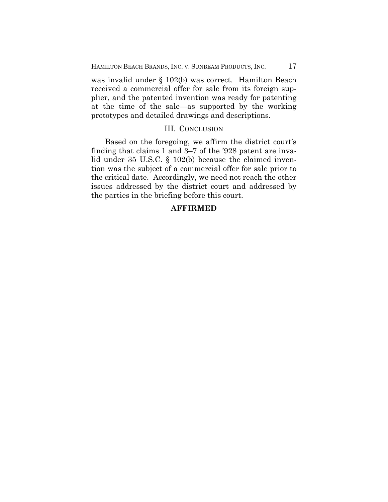was invalid under § 102(b) was correct. Hamilton Beach received a commercial offer for sale from its foreign supplier, and the patented invention was ready for patenting at the time of the sale—as supported by the working prototypes and detailed drawings and descriptions.

## III. CONCLUSION

Based on the foregoing, we affirm the district court's finding that claims 1 and 3–7 of the '928 patent are invalid under 35 U.S.C. § 102(b) because the claimed invention was the subject of a commercial offer for sale prior to the critical date. Accordingly, we need not reach the other issues addressed by the district court and addressed by the parties in the briefing before this court.

## **AFFIRMED**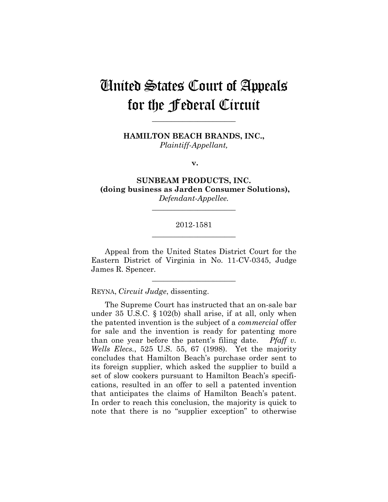# United States Court of Appeals for the Federal Circuit

**HAMILTON BEACH BRANDS, INC.,** *Plaintiff-Appellant,*

**\_\_\_\_\_\_\_\_\_\_\_\_\_\_\_\_\_\_\_\_\_\_** 

**v.**

**SUNBEAM PRODUCTS, INC. (doing business as Jarden Consumer Solutions),**  *Defendant-Appellee.*

**\_\_\_\_\_\_\_\_\_\_\_\_\_\_\_\_\_\_\_\_\_\_** 

## 2012-1581 **\_\_\_\_\_\_\_\_\_\_\_\_\_\_\_\_\_\_\_\_\_\_**

Appeal from the United States District Court for the Eastern District of Virginia in No. 11-CV-0345, Judge James R. Spencer.

**\_\_\_\_\_\_\_\_\_\_\_\_\_\_\_\_\_\_\_\_\_\_** 

REYNA, *Circuit Judge*, dissenting.

The Supreme Court has instructed that an on-sale bar under 35 U.S.C. § 102(b) shall arise, if at all, only when the patented invention is the subject of a *commercial* offer for sale and the invention is ready for patenting more than one year before the patent's filing date. *Pfaff v. Wells Elecs.*, 525 U.S. 55, 67 (1998). Yet the majority concludes that Hamilton Beach's purchase order sent to its foreign supplier, which asked the supplier to build a set of slow cookers pursuant to Hamilton Beach's specifications, resulted in an offer to sell a patented invention that anticipates the claims of Hamilton Beach's patent. In order to reach this conclusion, the majority is quick to note that there is no "supplier exception" to otherwise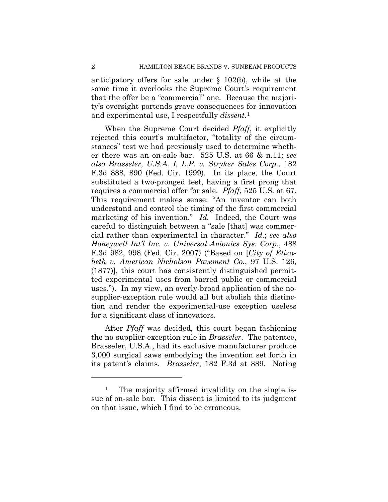anticipatory offers for sale under § 102(b), while at the same time it overlooks the Supreme Court's requirement that the offer be a "commercial" one. Because the majority's oversight portends grave consequences for innovation and experimental use, I respectfully *dissent*.1

When the Supreme Court decided *Pfaff*, it explicitly rejected this court's multifactor, "totality of the circumstances" test we had previously used to determine whether there was an on-sale bar. 525 U.S. at 66 & n.11; *see also Brasseler, U.S.A. I, L.P. v. Stryker Sales Corp.*, 182 F.3d 888, 890 (Fed. Cir. 1999). In its place, the Court substituted a two-pronged test, having a first prong that requires a commercial offer for sale. *Pfaff*, 525 U.S. at 67. This requirement makes sense: "An inventor can both understand and control the timing of the first commercial marketing of his invention." *Id.* Indeed, the Court was careful to distinguish between a "sale [that] was commercial rather than experimental in character." *Id.*; *see also Honeywell Int'l Inc. v. Universal Avionics Sys. Corp.*, 488 F.3d 982, 998 (Fed. Cir. 2007) ("Based on [*City of Elizabeth v. American Nicholson Pavement Co.*, 97 U.S. 126, (1877)], this court has consistently distinguished permitted experimental uses from barred public or commercial uses."). In my view, an overly-broad application of the nosupplier-exception rule would all but abolish this distinction and render the experimental-use exception useless for a significant class of innovators.

After *Pfaff* was decided, this court began fashioning the no-supplier-exception rule in *Brasseler*. The patentee, Brasseler, U.S.A., had its exclusive manufacturer produce 3,000 surgical saws embodying the invention set forth in its patent's claims. *Brasseler*, 182 F.3d at 889. Noting

 $\overline{a}$ 

<sup>&</sup>lt;sup>1</sup> The majority affirmed invalidity on the single issue of on-sale bar. This dissent is limited to its judgment on that issue, which I find to be erroneous.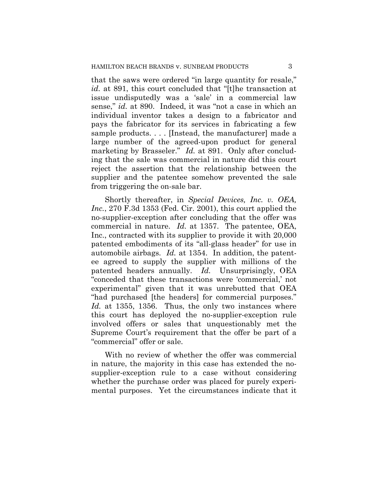that the saws were ordered "in large quantity for resale," *id.* at 891, this court concluded that "[t]he transaction at issue undisputedly was a 'sale' in a commercial law sense," *id.* at 890. Indeed, it was "not a case in which an individual inventor takes a design to a fabricator and pays the fabricator for its services in fabricating a few sample products. . . . [Instead, the manufacturer] made a large number of the agreed-upon product for general marketing by Brasseler." *Id.* at 891. Only after concluding that the sale was commercial in nature did this court reject the assertion that the relationship between the supplier and the patentee somehow prevented the sale from triggering the on-sale bar.

Shortly thereafter, in *Special Devices, Inc. v. OEA, Inc.*, 270 F.3d 1353 (Fed. Cir. 2001), this court applied the no-supplier-exception after concluding that the offer was commercial in nature. *Id.* at 1357. The patentee, OEA, Inc., contracted with its supplier to provide it with 20,000 patented embodiments of its "all-glass header" for use in automobile airbags. *Id.* at 1354. In addition, the patentee agreed to supply the supplier with millions of the patented headers annually. *Id.* Unsurprisingly, OEA "conceded that these transactions were 'commercial,' not experimental" given that it was unrebutted that OEA "had purchased [the headers] for commercial purposes." *Id.* at 1355, 1356. Thus, the only two instances where this court has deployed the no-supplier-exception rule involved offers or sales that unquestionably met the Supreme Court's requirement that the offer be part of a "commercial" offer or sale.

With no review of whether the offer was commercial in nature, the majority in this case has extended the nosupplier-exception rule to a case without considering whether the purchase order was placed for purely experimental purposes. Yet the circumstances indicate that it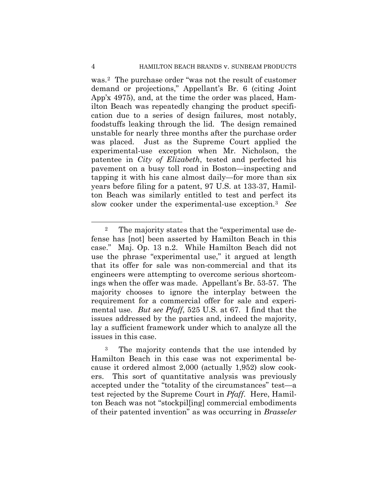was.2 The purchase order "was not the result of customer demand or projections," Appellant's Br. 6 (citing Joint App'x 4975), and, at the time the order was placed, Hamilton Beach was repeatedly changing the product specification due to a series of design failures, most notably, foodstuffs leaking through the lid. The design remained unstable for nearly three months after the purchase order was placed. Just as the Supreme Court applied the experimental-use exception when Mr. Nicholson, the patentee in *City of Elizabeth*, tested and perfected his pavement on a busy toll road in Boston—inspecting and tapping it with his cane almost daily—for more than six years before filing for a patent, 97 U.S. at 133-37, Hamilton Beach was similarly entitled to test and perfect its slow cooker under the experimental-use exception.3 *See*

 $\overline{a}$ 

<sup>2</sup> The majority states that the "experimental use defense has [not] been asserted by Hamilton Beach in this case." Maj. Op. 13 n.2. While Hamilton Beach did not use the phrase "experimental use," it argued at length that its offer for sale was non-commercial and that its engineers were attempting to overcome serious shortcomings when the offer was made. Appellant's Br. 53-57. The majority chooses to ignore the interplay between the requirement for a commercial offer for sale and experimental use. *But see Pfaff*, 525 U.S. at 67. I find that the issues addressed by the parties and, indeed the majority, lay a sufficient framework under which to analyze all the issues in this case.

<sup>&</sup>lt;sup>3</sup> The majority contends that the use intended by Hamilton Beach in this case was not experimental because it ordered almost 2,000 (actually 1,952) slow cookers. This sort of quantitative analysis was previously accepted under the "totality of the circumstances" test—a test rejected by the Supreme Court in *Pfaff*. Here, Hamilton Beach was not "stockpil[ing] commercial embodiments of their patented invention" as was occurring in *Brasseler*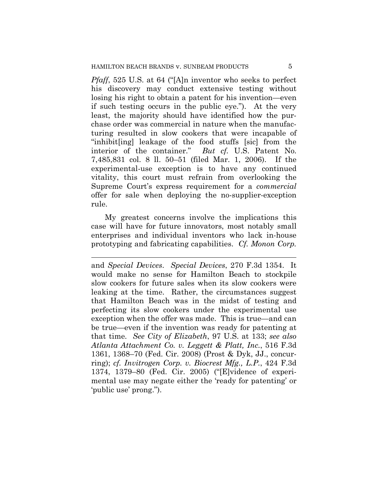*Pfaff*, 525 U.S. at 64 ("[A]n inventor who seeks to perfect his discovery may conduct extensive testing without losing his right to obtain a patent for his invention—even if such testing occurs in the public eye."). At the very least, the majority should have identified how the purchase order was commercial in nature when the manufacturing resulted in slow cookers that were incapable of "inhibit[ing] leakage of the food stuffs [sic] from the interior of the container." *But cf.* U.S. Patent No. 7,485,831 col. 8 ll. 50–51 (filed Mar. 1, 2006). If the experimental-use exception is to have any continued vitality, this court must refrain from overlooking the Supreme Court's express requirement for a *commercial* offer for sale when deploying the no-supplier-exception rule.

My greatest concerns involve the implications this case will have for future innovators, most notably small enterprises and individual inventors who lack in-house prototyping and fabricating capabilities. *Cf. Monon Corp.* 

 $\overline{a}$ 

and *Special Devices*. *Special Devices*, 270 F.3d 1354. It would make no sense for Hamilton Beach to stockpile slow cookers for future sales when its slow cookers were leaking at the time. Rather, the circumstances suggest that Hamilton Beach was in the midst of testing and perfecting its slow cookers under the experimental use exception when the offer was made. This is true—and can be true—even if the invention was ready for patenting at that time. *See City of Elizabeth*, 97 U.S. at 133; *see also Atlanta Attachment Co. v. Leggett & Platt, Inc.*, 516 F.3d 1361, 1368–70 (Fed. Cir. 2008) (Prost & Dyk, JJ., concurring); *cf. Invitrogen Corp. v. Biocrest Mfg., L.P.*, 424 F.3d 1374, 1379–80 (Fed. Cir. 2005) ("[E]vidence of experimental use may negate either the 'ready for patenting' or 'public use' prong.").